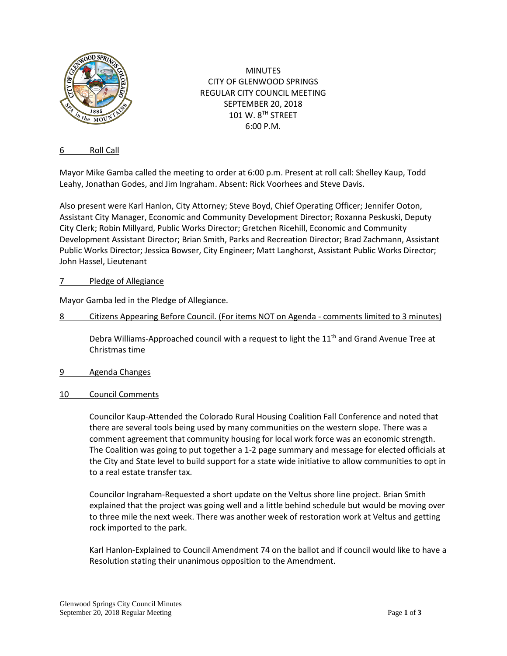

MINUTES CITY OF GLENWOOD SPRINGS REGULAR CITY COUNCIL MEETING SEPTEMBER 20, 2018 101 W. 8TH STREET 6:00 P.M.

## 6 Roll Call

Mayor Mike Gamba called the meeting to order at 6:00 p.m. Present at roll call: Shelley Kaup, Todd Leahy, Jonathan Godes, and Jim Ingraham. Absent: Rick Voorhees and Steve Davis.

Also present were Karl Hanlon, City Attorney; Steve Boyd, Chief Operating Officer; Jennifer Ooton, Assistant City Manager, Economic and Community Development Director; Roxanna Peskuski, Deputy City Clerk; Robin Millyard, Public Works Director; Gretchen Ricehill, Economic and Community Development Assistant Director; Brian Smith, Parks and Recreation Director; Brad Zachmann, Assistant Public Works Director; Jessica Bowser, City Engineer; Matt Langhorst, Assistant Public Works Director; John Hassel, Lieutenant

# 7 Pledge of Allegiance

Mayor Gamba led in the Pledge of Allegiance.

8 Citizens Appearing Before Council. (For items NOT on Agenda - comments limited to 3 minutes)

Debra Williams-Approached council with a request to light the  $11<sup>th</sup>$  and Grand Avenue Tree at Christmas time

- 9 Agenda Changes
- 10 Council Comments

Councilor Kaup-Attended the Colorado Rural Housing Coalition Fall Conference and noted that there are several tools being used by many communities on the western slope. There was a comment agreement that community housing for local work force was an economic strength. The Coalition was going to put together a 1-2 page summary and message for elected officials at the City and State level to build support for a state wide initiative to allow communities to opt in to a real estate transfer tax.

Councilor Ingraham-Requested a short update on the Veltus shore line project. Brian Smith explained that the project was going well and a little behind schedule but would be moving over to three mile the next week. There was another week of restoration work at Veltus and getting rock imported to the park.

Karl Hanlon-Explained to Council Amendment 74 on the ballot and if council would like to have a Resolution stating their unanimous opposition to the Amendment.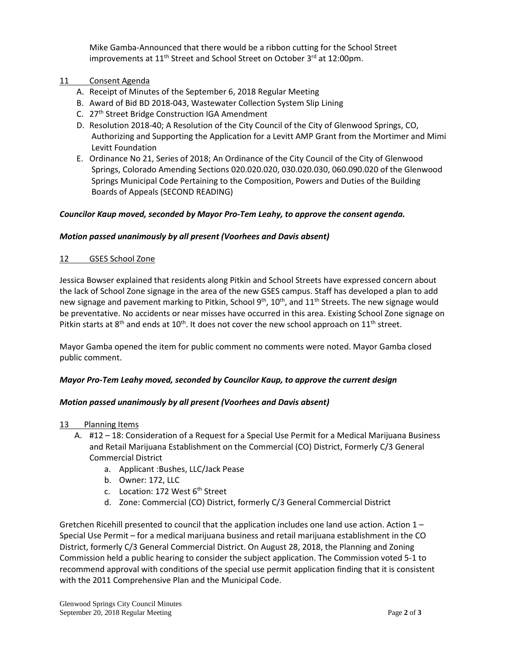Mike Gamba-Announced that there would be a ribbon cutting for the School Street improvements at 11<sup>th</sup> Street and School Street on October 3<sup>rd</sup> at 12:00pm.

- 11 Consent Agenda
	- A. Receipt of Minutes of the September 6, 2018 Regular Meeting
	- B. Award of Bid BD 2018-043, Wastewater Collection System Slip Lining
	- C. 27<sup>th</sup> Street Bridge Construction IGA Amendment
	- D. Resolution 2018-40; A Resolution of the City Council of the City of Glenwood Springs, CO, Authorizing and Supporting the Application for a Levitt AMP Grant from the Mortimer and Mimi Levitt Foundation
	- E. Ordinance No 21, Series of 2018; An Ordinance of the City Council of the City of Glenwood Springs, Colorado Amending Sections 020.020.020, 030.020.030, 060.090.020 of the Glenwood Springs Municipal Code Pertaining to the Composition, Powers and Duties of the Building Boards of Appeals (SECOND READING)

## *Councilor Kaup moved, seconded by Mayor Pro-Tem Leahy, to approve the consent agenda.*

## *Motion passed unanimously by all present (Voorhees and Davis absent)*

## 12 GSES School Zone

Jessica Bowser explained that residents along Pitkin and School Streets have expressed concern about the lack of School Zone signage in the area of the new GSES campus. Staff has developed a plan to add new signage and pavement marking to Pitkin, School 9<sup>th</sup>, 10<sup>th</sup>, and 11<sup>th</sup> Streets. The new signage would be preventative. No accidents or near misses have occurred in this area. Existing School Zone signage on Pitkin starts at 8<sup>th</sup> and ends at 10<sup>th</sup>. It does not cover the new school approach on 11<sup>th</sup> street.

Mayor Gamba opened the item for public comment no comments were noted. Mayor Gamba closed public comment.

## *Mayor Pro-Tem Leahy moved, seconded by Councilor Kaup, to approve the current design*

## *Motion passed unanimously by all present (Voorhees and Davis absent)*

- 13 Planning Items
	- A. #12 18: Consideration of a Request for a Special Use Permit for a Medical Marijuana Business and Retail Marijuana Establishment on the Commercial (CO) District, Formerly C/3 General Commercial District
		- a. Applicant :Bushes, LLC/Jack Pease
		- b. Owner: 172, LLC
		- c. Location: 172 West 6<sup>th</sup> Street
		- d. Zone: Commercial (CO) District, formerly C/3 General Commercial District

Gretchen Ricehill presented to council that the application includes one land use action. Action 1 – Special Use Permit – for a medical marijuana business and retail marijuana establishment in the CO District, formerly C/3 General Commercial District. On August 28, 2018, the Planning and Zoning Commission held a public hearing to consider the subject application. The Commission voted 5-1 to recommend approval with conditions of the special use permit application finding that it is consistent with the 2011 Comprehensive Plan and the Municipal Code.